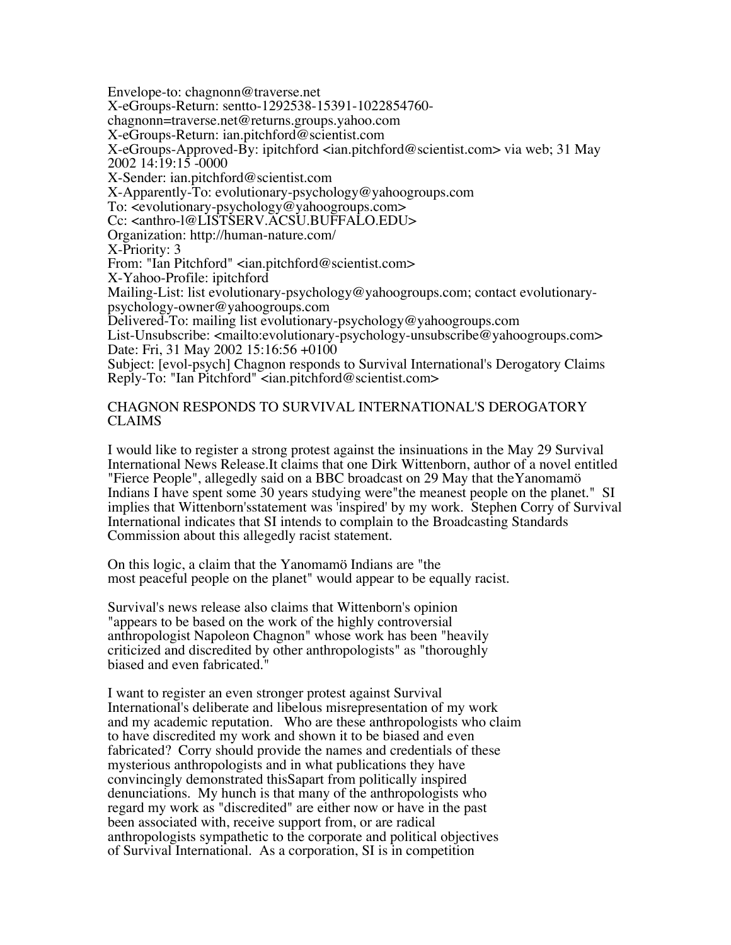Envelope-to: chagnonn@traverse.net

X-eGroups-Return: sentto-1292538-15391-1022854760- chagnonn=traverse.net@returns.groups.yahoo.com

X-eGroups-Return: ian.pitchford@scientist.com

X-eGroups-Approved-By: ipitchford <ian.pitchford@scientist.com> via web; 31 May 2002 14:19:15 -0000

X-Sender: ian.pitchford@scientist.com

X-Apparently-To: evolutionary-psychology@yahoogroups.com

To: <evolutionary-psychology@yahoogroups.com>

Cc: <anthro-l@LISTSERV.ACSU.BUFFALO.EDU>

Organization: http://human-nature.com/

X-Priority: 3

From: "Ian Pitchford" <ian.pitchford@scientist.com>

X-Yahoo-Profile: ipitchford

Mailing-List: list evolutionary-psychology@yahoogroups.com; contact evolutionary- psychology-owner@yahoogroups.com

Delivered-To: mailing list evolutionary-psychology@yahoogroups.com

List-Unsubscribe: <mailto:evolutionary-psychology-unsubscribe@yahoogroups.com> Date: Fri, 31 May 2002 15:16:56 +0100

Subject: [evol-psych] Chagnon responds to Survival International's Derogatory Claims Reply-To: "Ian Pitchford" <ian.pitchford@scientist.com>

## CHAGNON RESPONDS TO SURVIVAL INTERNATIONAL'S DEROGATORY CLAIMS

I would like to register a strong protest against the insinuations in the May 29 Survival International News Release.It claims that one Dirk Wittenborn, author of a novel entitled "Fierce People", allegedly said on a BBC broadcast on 29 May that theYanomamö Indians I have spent some 30 years studying were"the meanest people on the planet." SI implies that Wittenborn'sstatement was 'inspired' by my work. Stephen Corry of Survival International indicates that SI intends to complain to the Broadcasting Standards Commission about this allegedly racist statement.

On this logic, a claim that the Yanomamö Indians are "the most peaceful people on the planet" would appear to be equally racist.

Survival's news release also claims that Wittenborn's opinion "appears to be based on the work of the highly controversial anthropologist Napoleon Chagnon" whose work has been "heavily criticized and discredited by other anthropologists" as "thoroughly biased and even fabricated."

I want to register an even stronger protest against Survival International's deliberate and libelous misrepresentation of my work and my academic reputation. Who are these anthropologists who claim to have discredited my work and shown it to be biased and even fabricated? Corry should provide the names and credentials of these mysterious anthropologists and in what publications they have convincingly demonstrated thisSapart from politically inspired denunciations. My hunch is that many of the anthropologists who regard my work as "discredited" are either now or have in the past been associated with, receive support from, or are radical anthropologists sympathetic to the corporate and political objectives of Survival International. As a corporation, SI is in competition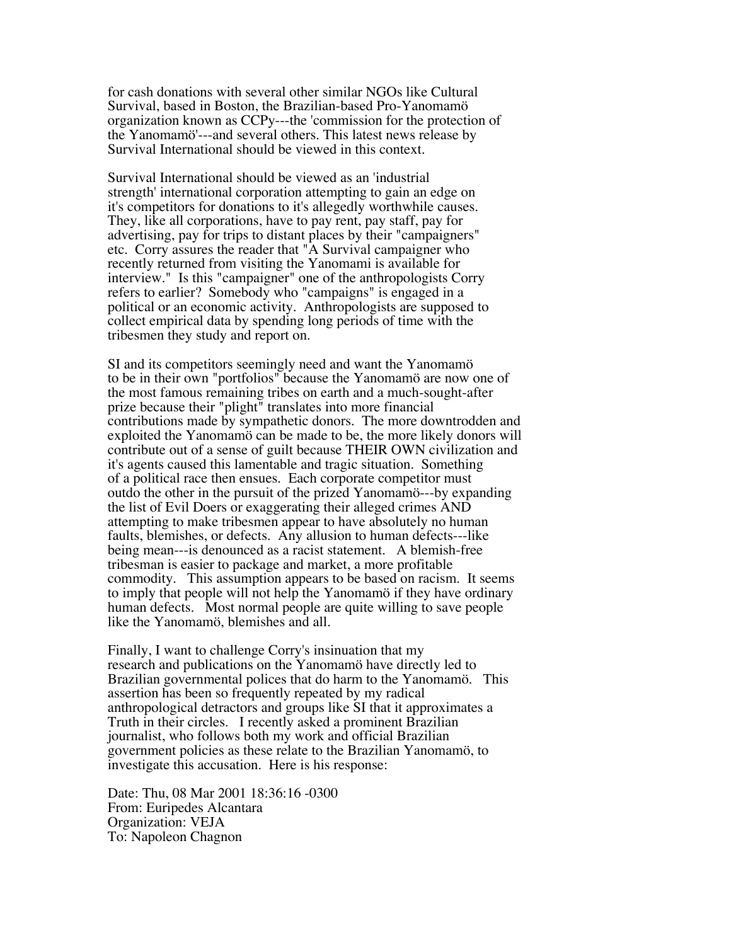for cash donations with several other similar NGOs like Cultural Survival, based in Boston, the Brazilian-based Pro-Yanomamö organization known as CCPy---the 'commission for the protection of the Yanomamö'---and several others. This latest news release by Survival International should be viewed in this context.

Survival International should be viewed as an 'industrial strength' international corporation attempting to gain an edge on it's competitors for donations to it's allegedly worthwhile causes. They, like all corporations, have to pay rent, pay staff, pay for advertising, pay for trips to distant places by their "campaigners" etc. Corry assures the reader that "A Survival campaigner who recently returned from visiting the Yanomami is available for interview." Is this "campaigner" one of the anthropologists Corry refers to earlier? Somebody who "campaigns" is engaged in a political or an economic activity. Anthropologists are supposed to collect empirical data by spending long periods of time with the tribesmen they study and report on.

SI and its competitors seemingly need and want the Yanomamö to be in their own "portfolios" because the Yanomamö are now one of the most famous remaining tribes on earth and a much-sought-after prize because their "plight" translates into more financial contributions made by sympathetic donors. The more downtrodden and exploited the Yanomamö can be made to be, the more likely donors will contribute out of a sense of guilt because THEIR OWN civilization and it's agents caused this lamentable and tragic situation. Something of a political race then ensues. Each corporate competitor must outdo the other in the pursuit of the prized Yanomamö---by expanding the list of Evil Doers or exaggerating their alleged crimes AND attempting to make tribesmen appear to have absolutely no human faults, blemishes, or defects. Any allusion to human defects---like being mean---is denounced as a racist statement. A blemish-free tribesman is easier to package and market, a more profitable commodity. This assumption appears to be based on racism. It seems to imply that people will not help the Yanomamö if they have ordinary human defects. Most normal people are quite willing to save people like the Yanomamö, blemishes and all.

Finally, I want to challenge Corry's insinuation that my research and publications on the Yanomamö have directly led to Brazilian governmental polices that do harm to the Yanomamö. This assertion has been so frequently repeated by my radical anthropological detractors and groups like SI that it approximates a Truth in their circles. I recently asked a prominent Brazilian journalist, who follows both my work and official Brazilian government policies as these relate to the Brazilian Yanomamö, to investigate this accusation. Here is his response:

Date: Thu, 08 Mar 2001 18:36:16 -0300 From: Euripedes Alcantara Organization: VEJA To: Napoleon Chagnon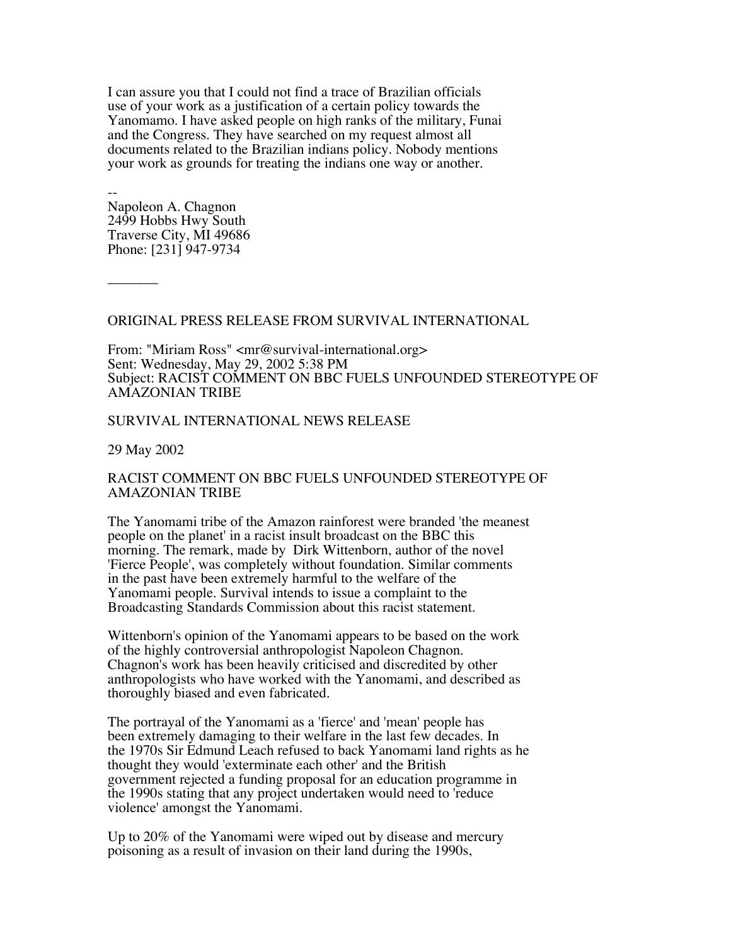I can assure you that I could not find a trace of Brazilian officials use of your work as a justification of a certain policy towards the Yanomamo. I have asked people on high ranks of the military, Funai and the Congress. They have searched on my request almost all documents related to the Brazilian indians policy. Nobody mentions your work as grounds for treating the indians one way or another.

-- Napoleon A. Chagnon 2499 Hobbs Hwy South Traverse City, MI 49686 Phone: [231] 947-9734

 $\overline{\phantom{a}}$ 

## ORIGINAL PRESS RELEASE FROM SURVIVAL INTERNATIONAL

From: "Miriam Ross" <mr@survival-international.org> Sent: Wednesday, May 29, 2002 5:38 PM Subject: RACIST COMMENT ON BBC FUELS UNFOUNDED STEREOTYPE OF AMAZONIAN TRIBE

## SURVIVAL INTERNATIONAL NEWS RELEASE

29 May 2002

## RACIST COMMENT ON BBC FUELS UNFOUNDED STEREOTYPE OF AMAZONIAN TRIBE

The Yanomami tribe of the Amazon rainforest were branded 'the meanest people on the planet' in a racist insult broadcast on the BBC this morning. The remark, made by Dirk Wittenborn, author of the novel 'Fierce People', was completely without foundation. Similar comments in the past have been extremely harmful to the welfare of the Yanomami people. Survival intends to issue a complaint to the Broadcasting Standards Commission about this racist statement.

Wittenborn's opinion of the Yanomami appears to be based on the work of the highly controversial anthropologist Napoleon Chagnon. Chagnon's work has been heavily criticised and discredited by other anthropologists who have worked with the Yanomami, and described as thoroughly biased and even fabricated.

The portrayal of the Yanomami as a 'fierce' and 'mean' people has been extremely damaging to their welfare in the last few decades. In the 1970s Sir Edmund Leach refused to back Yanomami land rights as he thought they would 'exterminate each other' and the British government rejected a funding proposal for an education programme in the 1990s stating that any project undertaken would need to 'reduce violence' amongst the Yanomami.

Up to 20% of the Yanomami were wiped out by disease and mercury poisoning as a result of invasion on their land during the 1990s,